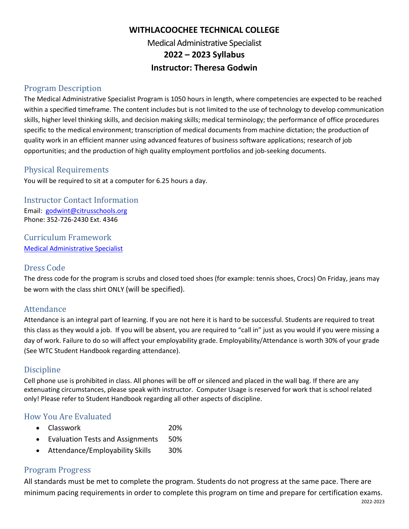# **WITHLACOOCHEE TECHNICAL COLLEGE** Medical Administrative Specialist **2022 – 2023 Syllabus Instructor: Theresa Godwin**

### Program Description

The Medical Administrative Specialist Program is 1050 hours in length, where competencies are expected to be reached within a specified timeframe. The content includes but is not limited to the use of technology to develop communication skills, higher level thinking skills, and decision making skills; medical terminology; the performance of office procedures specific to the medical environment; transcription of medical documents from machine dictation; the production of quality work in an efficient manner using advanced features of business software applications; research of job opportunities; and the production of high quality employment portfolios and job-seeking documents.

### Physical Requirements

You will be required to sit at a computer for 6.25 hours a day.

Instructor Contact Information Email: [godwint@citrusschools.org](mailto:godwint@citrusschools.org) Phone: 352-726-2430 Ext. 4346

Curriculum Framework [Medical Administrative Specialist](https://www.fldoe.org/core/fileparse.php/20062/urlt/B070300-2223.rtf)

### Dress Code

The dress code for the program is scrubs and closed toed shoes (for example: tennis shoes, Crocs) On Friday, jeans may be worn with the class shirt ONLY (will be specified).

### Attendance

Attendance is an integral part of learning. If you are not here it is hard to be successful. Students are required to treat this class as they would a job. If you will be absent, you are required to "call in" just as you would if you were missing a day of work. Failure to do so will affect your employability grade. Employability/Attendance is worth 30% of your grade (See WTC Student Handbook regarding attendance).

### Discipline

Cell phone use is prohibited in class. All phones will be off or silenced and placed in the wall bag. If there are any extenuating circumstances, please speak with instructor. Computer Usage is reserved for work that is school related only! Please refer to Student Handbook regarding all other aspects of discipline.

### How You Are Evaluated

- Classwork 20%
- Evaluation Tests and Assignments 50%
- Attendance/Employability Skills 30%

### Program Progress

All standards must be met to complete the program. Students do not progress at the same pace. There are minimum pacing requirements in order to complete this program on time and prepare for certification exams.